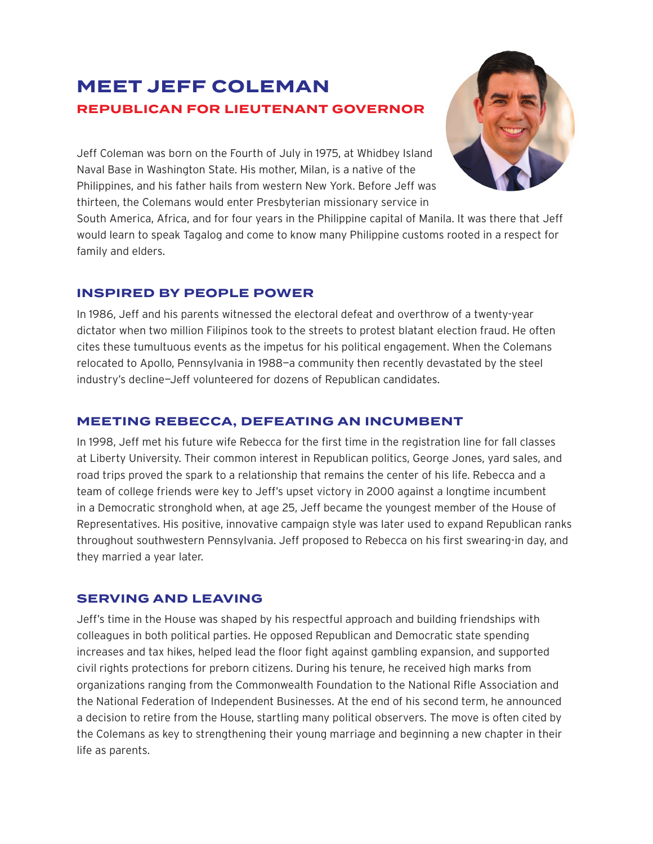# **MEET JEFF COLEMAN REPUBLICAN FOR LIEUTENANT GOVERNOR**



Jeff Coleman was born on the Fourth of July in 1975, at Whidbey Island Naval Base in Washington State. His mother, Milan, is a native of the Philippines, and his father hails from western New York. Before Jeff was thirteen, the Colemans would enter Presbyterian missionary service in

South America, Africa, and for four years in the Philippine capital of Manila. It was there that Jeff would learn to speak Tagalog and come to know many Philippine customs rooted in a respect for family and elders.

## **INSPIRED BY PEOPLE POWER**

In 1986, Jeff and his parents witnessed the electoral defeat and overthrow of a twenty-year dictator when two million Filipinos took to the streets to protest blatant election fraud. He often cites these tumultuous events as the impetus for his political engagement. When the Colemans relocated to Apollo, Pennsylvania in 1988—a community then recently devastated by the steel industry's decline—Jeff volunteered for dozens of Republican candidates.

### **MEETING REBECCA, DEFEATING AN INCUMBENT**

In 1998, Jeff met his future wife Rebecca for the first time in the registration line for fall classes at Liberty University. Their common interest in Republican politics, George Jones, yard sales, and road trips proved the spark to a relationship that remains the center of his life. Rebecca and a team of college friends were key to Jeff's upset victory in 2000 against a longtime incumbent in a Democratic stronghold when, at age 25, Jeff became the youngest member of the House of Representatives. His positive, innovative campaign style was later used to expand Republican ranks throughout southwestern Pennsylvania. Jeff proposed to Rebecca on his first swearing-in day, and they married a year later.

#### **SERVING AND LEAVING**

Jeff's time in the House was shaped by his respectful approach and building friendships with colleagues in both political parties. He opposed Republican and Democratic state spending increases and tax hikes, helped lead the floor fight against gambling expansion, and supported civil rights protections for preborn citizens. During his tenure, he received high marks from organizations ranging from the Commonwealth Foundation to the National Rifle Association and the National Federation of Independent Businesses. At the end of his second term, he announced a decision to retire from the House, startling many political observers. The move is often cited by the Colemans as key to strengthening their young marriage and beginning a new chapter in their life as parents.